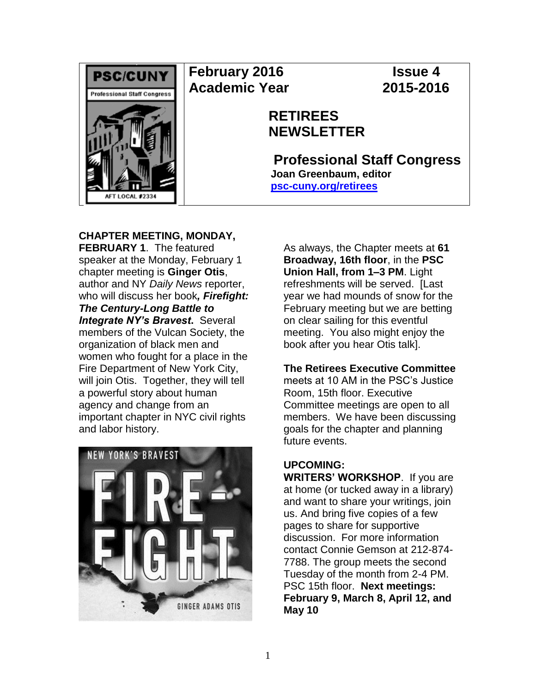

**February 2016 Issue 4 Academic Year 2015-2016**

# **RETIREES NEWSLETTER**

**Professional Staff Congress Joan Greenbaum, editor [psc-cuny.org/retirees](http://www.psc-cuny.org/retirees)**

**CHAPTER MEETING, MONDAY, FEBRUARY 1**. The featured speaker at the Monday, February 1 chapter meeting is **Ginger Otis**, author and NY *Daily News* reporter, who will discuss her book*, Firefight: The Century-Long Battle to Integrate NY's Bravest***.** Several members of the Vulcan Society, the organization of black men and women who fought for a place in the Fire Department of New York City, will join Otis. Together, they will tell a powerful story about human agency and change from an important chapter in NYC civil rights and labor history.



As always, the Chapter meets at **61 Broadway, 16th floor**, in the **PSC Union Hall, from 1–3 PM**. Light refreshments will be served. [Last year we had mounds of snow for the February meeting but we are betting on clear sailing for this eventful meeting. You also might enjoy the book after you hear Otis talk].

# **The Retirees Executive Committee**

meets at 10 AM in the PSC's Justice Room, 15th floor. Executive Committee meetings are open to all members. We have been discussing goals for the chapter and planning future events.

# **UPCOMING:**

**WRITERS' WORKSHOP**. If you are at home (or tucked away in a library) and want to share your writings, join us. And bring five copies of a few pages to share for supportive discussion. For more information contact Connie Gemson at 212-874- 7788. The group meets the second Tuesday of the month from 2-4 PM. PSC 15th floor. **Next meetings: February 9, March 8, April 12, and May 10**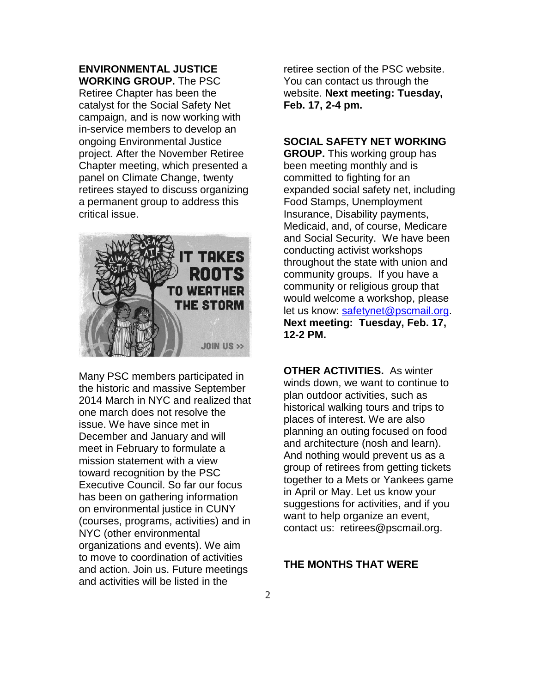#### **ENVIRONMENTAL JUSTICE WORKING GROUP.** The PSC

Retiree Chapter has been the catalyst for the Social Safety Net campaign, and is now working with in-service members to develop an ongoing Environmental Justice project. After the November Retiree Chapter meeting, which presented a panel on Climate Change, twenty retirees stayed to discuss organizing a permanent group to address this critical issue.



Many PSC members participated in the historic and massive September 2014 March in NYC and realized that one march does not resolve the issue. We have since met in December and January and will meet in February to formulate a mission statement with a view toward recognition by the PSC Executive Council. So far our focus has been on gathering information on environmental justice in CUNY (courses, programs, activities) and in NYC (other environmental organizations and events). We aim to move to coordination of activities and action. Join us. Future meetings and activities will be listed in the

retiree section of the PSC website. You can contact us through the website. **Next meeting: Tuesday, Feb. 17, 2-4 pm.**

# **SOCIAL SAFETY NET WORKING**

**GROUP.** This working group has been meeting monthly and is committed to fighting for an expanded social safety net, including Food Stamps, Unemployment Insurance, Disability payments, Medicaid, and, of course, Medicare and Social Security. We have been conducting activist workshops throughout the state with union and community groups. If you have a community or religious group that would welcome a workshop, please let us know: [safetynet@pscmail.org.](mailto:safetynet@pscmail.org) **Next meeting: Tuesday, Feb. 17, 12-2 PM.** 

**OTHER ACTIVITIES.** As winter winds down, we want to continue to plan outdoor activities, such as historical walking tours and trips to places of interest. We are also planning an outing focused on food and architecture (nosh and learn). And nothing would prevent us as a group of retirees from getting tickets together to a Mets or Yankees game in April or May. Let us know your suggestions for activities, and if you want to help organize an event, contact us: retirees@pscmail.org.

# **THE MONTHS THAT WERE**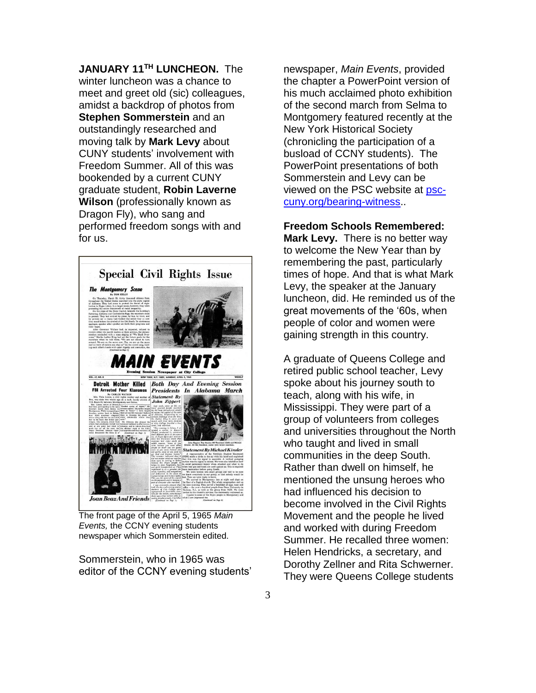**JANUARY 11TH LUNCHEON.** The winter luncheon was a chance to meet and greet old (sic) colleagues, amidst a backdrop of photos from **Stephen Sommerstein** and an outstandingly researched and moving talk by **Mark Levy** about CUNY students' involvement with Freedom Summer. All of this was bookended by a current CUNY graduate student, **Robin Laverne Wilson** (professionally known as Dragon Fly), who sang and performed freedom songs with and for us.



The front page of the April 5, 1965 *Main Events,* the CCNY evening students newspaper which Sommerstein edited.

Sommerstein, who in 1965 was editor of the CCNY evening students' newspaper, *Main Events*, provided the chapter a PowerPoint version of his much acclaimed photo exhibition of the second march from Selma to Montgomery featured recently at the New York Historical Society (chronicling the participation of a busload of CCNY students). The PowerPoint presentations of both Sommerstein and Levy can be viewed on the PSC website at [psc](http://www.psc-cuny.org/bearing-witness)[cuny.org/bearing-witness.](http://www.psc-cuny.org/bearing-witness).

### **Freedom Schools Remembered:**

**Mark Levy.** There is no better way to welcome the New Year than by remembering the past, particularly times of hope. And that is what Mark Levy, the speaker at the January luncheon, did. He reminded us of the great movements of the '60s, when people of color and women were gaining strength in this country.

A graduate of Queens College and retired public school teacher, Levy spoke about his journey south to teach, along with his wife, in Mississippi. They were part of a group of volunteers from colleges and universities throughout the North who taught and lived in small communities in the deep South. Rather than dwell on himself, he mentioned the unsung heroes who had influenced his decision to become involved in the Civil Rights Movement and the people he lived and worked with during Freedom Summer. He recalled three women: Helen Hendricks, a secretary, and Dorothy Zellner and Rita Schwerner. They were Queens College students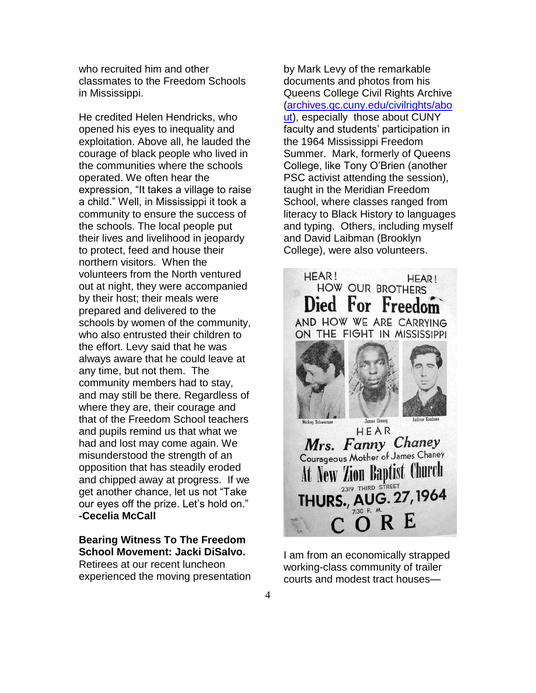who recruited him and other classmates to the Freedom Schools in Mississippi.

He credited Helen Hendricks, who opened his eyes to inequality and exploitation. Above all, he lauded the courage of black people who lived in the communities where the schools operated. We often hear the expression, "It takes a village to raise a child." Well, in Mississippi it took a community to ensure the success of the schools. The local people put their lives and livelihood in jeopardy to protect, feed and house their northern visitors. When the volunteers from the North ventured out at night, they were accompanied by their host; their meals were prepared and delivered to the schools by women of the community, who also entrusted their children to the effort. Levy said that he was always aware that he could leave at any time, but not them. The community members had to stay, and may still be there. Regardless of where they are, their courage and that of the Freedom School teachers and pupils remind us that what we had and lost may come again. We misunderstood the strength of an opposition that has steadily eroded and chipped away at progress. If we get another chance, let us not "Take our eyes off the prize. Let's hold on." **-Cecelia McCall**

**Bearing Witness To The Freedom School Movement: Jacki DiSalvo.**  Retirees at our recent luncheon experienced the moving presentation by Mark Levy of the remarkable documents and photos from his Queens College Civil Rights Archive [\(archives.qc.cuny.edu/civilrights/abo](http://archives.qc.cuny.edu/civilrights/about) [ut\)](http://archives.qc.cuny.edu/civilrights/about), especially those about CUNY faculty and students' participation in the 1964 Mississippi Freedom Summer. Mark, formerly of Queens College, like Tony O'Brien (another PSC activist attending the session), taught in the Meridian Freedom School, where classes ranged from literacy to Black History to languages and typing. Others, including myself and David Laibman (Brooklyn College), were also volunteers.



I am from an economically strapped working-class community of trailer courts and modest tract houses—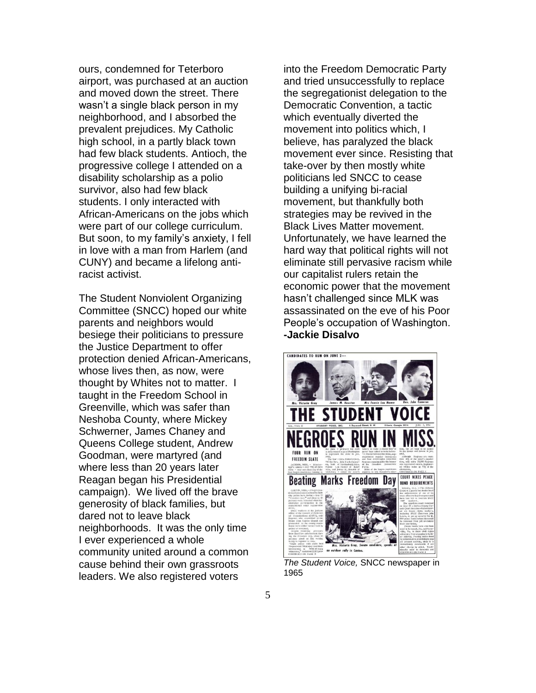ours, condemned for Teterboro airport, was purchased at an auction and moved down the street. There wasn't a single black person in my neighborhood, and I absorbed the prevalent prejudices. My Catholic high school, in a partly black town had few black students. Antioch, the progressive college I attended on a disability scholarship as a polio survivor, also had few black students. I only interacted with African-Americans on the jobs which were part of our college curriculum. But soon, to my family's anxiety, I fell in love with a man from Harlem (and CUNY) and became a lifelong antiracist activist.

The Student Nonviolent Organizing Committee (SNCC) hoped our white parents and neighbors would besiege their politicians to pressure the Justice Department to offer protection denied African-Americans, whose lives then, as now, were thought by Whites not to matter. I taught in the Freedom School in Greenville, which was safer than Neshoba County, where Mickey Schwerner, James Chaney and Queens College student, Andrew Goodman, were martyred (and where less than 20 years later Reagan began his Presidential campaign). We lived off the brave generosity of black families, but dared not to leave black neighborhoods. It was the only time I ever experienced a whole community united around a common cause behind their own grassroots leaders. We also registered voters

into the Freedom Democratic Party and tried unsuccessfully to replace the segregationist delegation to the Democratic Convention, a tactic which eventually diverted the movement into politics which, I believe, has paralyzed the black movement ever since. Resisting that take-over by then mostly white politicians led SNCC to cease building a unifying bi-racial movement, but thankfully both strategies may be revived in the Black Lives Matter movement. Unfortunately, we have learned the hard way that political rights will not eliminate still pervasive racism while our capitalist rulers retain the economic power that the movement hasn't challenged since MLK was assassinated on the eve of his Poor People's occupation of Washington. **-Jackie Disalvo**



*The Student Voice,* SNCC newspaper in 1965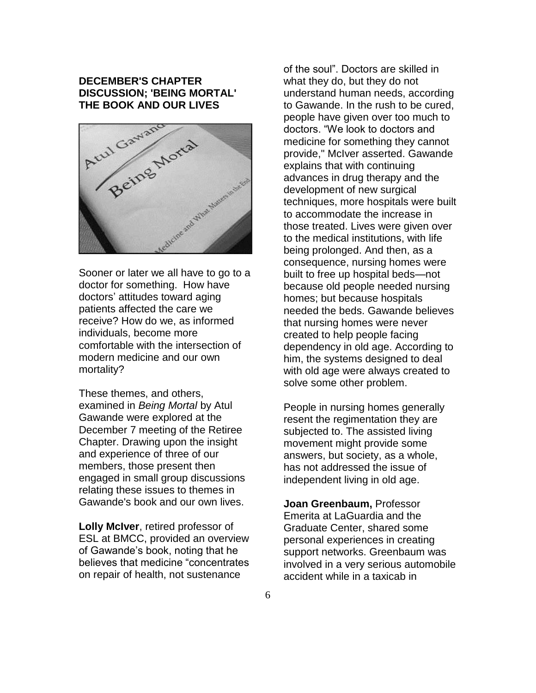# **DECEMBER'S CHAPTER DISCUSSION; 'BEING MORTAL'**



Sooner or later we all have to go to a doctor for something. How have doctors' attitudes toward aging patients affected the care we receive? How do we, as informed individuals, become more comfortable with the intersection of modern medicine and our own mortality?

These themes, and others, examined in *Being Mortal* by Atul Gawande were explored at the December 7 meeting of the Retiree Chapter. Drawing upon the insight and experience of three of our members, those present then engaged in small group discussions relating these issues to themes in Gawande's book and our own lives.

**Lolly McIver**, retired professor of ESL at BMCC, provided an overview of Gawande's book, noting that he believes that medicine "concentrates on repair of health, not sustenance

of the soul". Doctors are skilled in what they do, but they do not understand human needs, according to Gawande. In the rush to be cured, people have given over too much to doctors. "We look to doctors and medicine for something they cannot provide," McIver asserted. Gawande explains that with continuing advances in drug therapy and the development of new surgical techniques, more hospitals were built to accommodate the increase in those treated. Lives were given over to the medical institutions, with life being prolonged. And then, as a consequence, nursing homes were built to free up hospital beds—not because old people needed nursing homes; but because hospitals needed the beds. Gawande believes that nursing homes were never created to help people facing dependency in old age. According to him, the systems designed to deal with old age were always created to solve some other problem.

People in nursing homes generally resent the regimentation they are subjected to. The assisted living movement might provide some answers, but society, as a whole, has not addressed the issue of independent living in old age.

**Joan Greenbaum,** Professor Emerita at LaGuardia and the Graduate Center, shared some personal experiences in creating support networks. Greenbaum was involved in a very serious automobile accident while in a taxicab in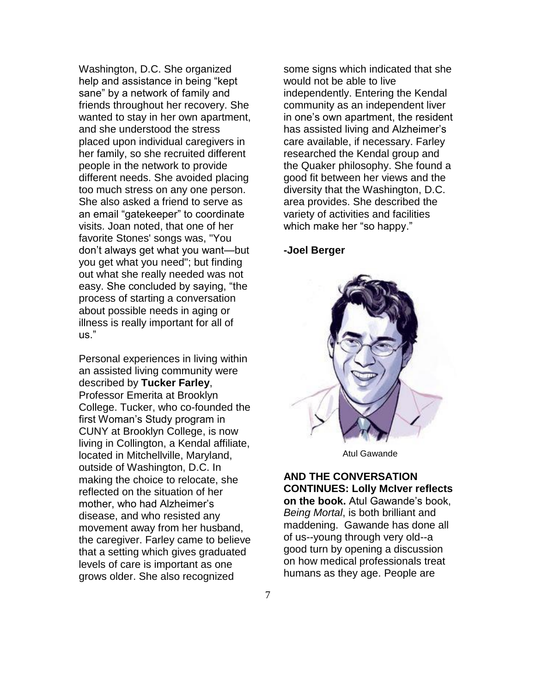Washington, D.C. She organized help and assistance in being "kept sane" by a network of family and friends throughout her recovery. She wanted to stay in her own apartment, and she understood the stress placed upon individual caregivers in her family, so she recruited different people in the network to provide different needs. She avoided placing too much stress on any one person. She also asked a friend to serve as an email "gatekeeper" to coordinate visits. Joan noted, that one of her favorite Stones' songs was, "You don't always get what you want—but you get what you need"; but finding out what she really needed was not easy. She concluded by saying, "the process of starting a conversation about possible needs in aging or illness is really important for all of us."

Personal experiences in living within an assisted living community were described by **Tucker Farley**, Professor Emerita at Brooklyn College. Tucker, who co-founded the first Woman's Study program in CUNY at Brooklyn College, is now living in Collington, a Kendal affiliate, located in Mitchellville, Maryland, outside of Washington, D.C. In making the choice to relocate, she reflected on the situation of her mother, who had Alzheimer's disease, and who resisted any movement away from her husband, the caregiver. Farley came to believe that a setting which gives graduated levels of care is important as one grows older. She also recognized

some signs which indicated that she would not be able to live independently. Entering the Kendal community as an independent liver in one's own apartment, the resident has assisted living and Alzheimer's care available, if necessary. Farley researched the Kendal group and the Quaker philosophy. She found a good fit between her views and the diversity that the Washington, D.C. area provides. She described the variety of activities and facilities which make her "so happy."

### **-Joel Berger**



Atul Gawande

#### **AND THE CONVERSATION CONTINUES: Lolly McIver reflects**

**on the book.** Atul Gawande's book, *Being Mortal*, is both brilliant and maddening. Gawande has done all of us--young through very old--a good turn by opening a discussion on how medical professionals treat humans as they age. People are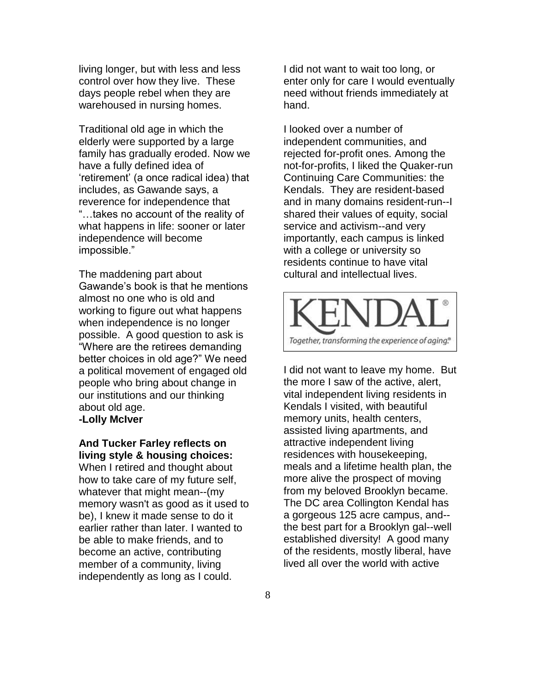living longer, but with less and less control over how they live. These days people rebel when they are warehoused in nursing homes.

Traditional old age in which the elderly were supported by a large family has gradually eroded. Now we have a fully defined idea of 'retirement' (a once radical idea) that includes, as Gawande says, a reverence for independence that "…takes no account of the reality of what happens in life: sooner or later independence will become impossible."

The maddening part about Gawande's book is that he mentions almost no one who is old and working to figure out what happens when independence is no longer possible. A good question to ask is "Where are the retirees demanding better choices in old age?" We need a political movement of engaged old people who bring about change in our institutions and our thinking about old age. **-Lolly McIver** 

#### **And Tucker Farley reflects on living style & housing choices:**

When I retired and thought about how to take care of my future self, whatever that might mean--(my memory wasn't as good as it used to be), I knew it made sense to do it earlier rather than later. I wanted to be able to make friends, and to become an active, contributing member of a community, living independently as long as I could.

I did not want to wait too long, or enter only for care I would eventually need without friends immediately at hand.

I looked over a number of independent communities, and rejected for-profit ones. Among the not-for-profits, I liked the Quaker-run Continuing Care Communities: the Kendals. They are resident-based and in many domains resident-run--I shared their values of equity, social service and activism--and very importantly, each campus is linked with a college or university so residents continue to have vital cultural and intellectual lives.



I did not want to leave my home. But the more I saw of the active, alert, vital independent living residents in Kendals I visited, with beautiful memory units, health centers, assisted living apartments, and attractive independent living residences with housekeeping, meals and a lifetime health plan, the more alive the prospect of moving from my beloved Brooklyn became. The DC area Collington Kendal has a gorgeous 125 acre campus, and- the best part for a Brooklyn gal--well established diversity! A good many of the residents, mostly liberal, have lived all over the world with active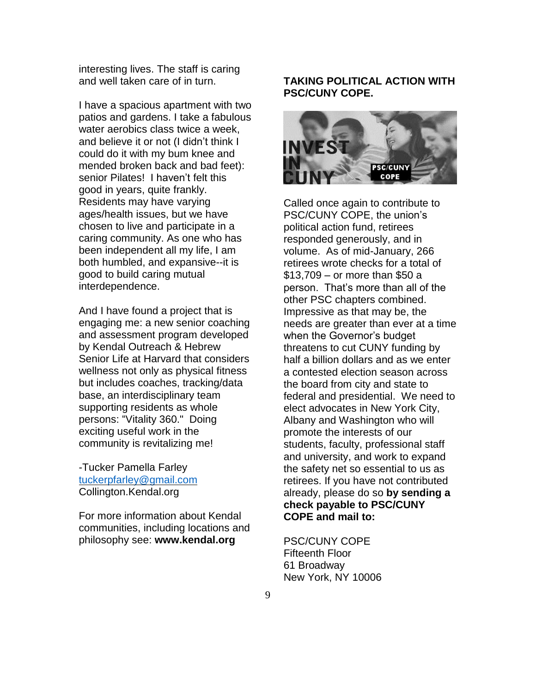interesting lives. The staff is caring and well taken care of in turn.

I have a spacious apartment with two patios and gardens. I take a fabulous water aerobics class twice a week, and believe it or not (I didn't think I could do it with my bum knee and mended broken back and bad feet): senior Pilates! I haven't felt this good in years, quite frankly. Residents may have varying ages/health issues, but we have chosen to live and participate in a caring community. As one who has been independent all my life, I am both humbled, and expansive--it is good to build caring mutual interdependence.

And I have found a project that is engaging me: a new senior coaching and assessment program developed by Kendal Outreach & Hebrew Senior Life at Harvard that considers wellness not only as physical fitness but includes coaches, tracking/data base, an interdisciplinary team supporting residents as whole persons: "Vitality 360." Doing exciting useful work in the community is revitalizing me!

-Tucker Pamella Farley [tuckerpfarley@gmail.com](mailto:tuckerpfarley@gmail.com) Collington.Kendal.org

For more information about Kendal communities, including locations and philosophy see: **www.kendal.org**

# **TAKING POLITICAL ACTION WITH PSC/CUNY COPE.**



Called once again to contribute to PSC/CUNY COPE, the union's political action fund, retirees responded generously, and in volume. As of mid-January, 266 retirees wrote checks for a total of \$13,709 – or more than \$50 a person. That's more than all of the other PSC chapters combined. Impressive as that may be, the needs are greater than ever at a time when the Governor's budget threatens to cut CUNY funding by half a billion dollars and as we enter a contested election season across the board from city and state to federal and presidential. We need to elect advocates in New York City, Albany and Washington who will promote the interests of our students, faculty, professional staff and university, and work to expand the safety net so essential to us as retirees. If you have not contributed already, please do so **by sending a check payable to PSC/CUNY COPE and mail to:**

PSC/CUNY COPE Fifteenth Floor 61 Broadway New York, NY 10006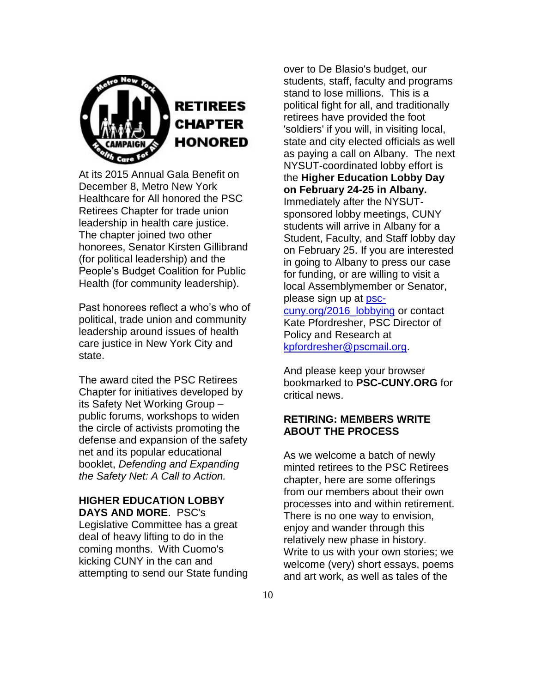

At its 2015 Annual Gala Benefit on December 8, Metro New York Healthcare for All honored the PSC Retirees Chapter for trade union leadership in health care justice. The chapter joined two other honorees, Senator Kirsten Gillibrand (for political leadership) and the People's Budget Coalition for Public Health (for community leadership).

Past honorees reflect a who's who of political, trade union and community leadership around issues of health care justice in New York City and state.

The award cited the PSC Retirees Chapter for initiatives developed by its Safety Net Working Group – public forums, workshops to widen the circle of activists promoting the defense and expansion of the safety net and its popular educational booklet, *Defending and Expanding the Safety Net: A Call to Action.*

#### **HIGHER EDUCATION LOBBY DAYS AND MORE**. PSC's

Legislative Committee has a great deal of heavy lifting to do in the coming months. With Cuomo's kicking CUNY in the can and attempting to send our State funding over to De Blasio's budget, our students, staff, faculty and programs stand to lose millions. This is a political fight for all, and traditionally retirees have provided the foot 'soldiers' if you will, in visiting local, state and city elected officials as well as paying a call on Albany. The next NYSUT-coordinated lobby effort is the **Higher Education Lobby Day on February 24-25 in Albany.** Immediately after the NYSUTsponsored lobby meetings, CUNY students will arrive in Albany for a Student, Faculty, and Staff lobby day on February 25. If you are interested in going to Albany to press our case for funding, or are willing to visit a local Assemblymember or Senator, please sign up at [psc](http://psc-cuny.org/2016_lobbying)[cuny.org/2016\\_lobbying](http://psc-cuny.org/2016_lobbying) or contact Kate Pfordresher, PSC Director of Policy and Research at

[kpfordresher@pscmail.org.](mailto:kpfordresher@pscmail.org)

And please keep your browser bookmarked to **PSC-CUNY.ORG** for critical news.

# **RETIRING: MEMBERS WRITE ABOUT THE PROCESS**

As we welcome a batch of newly minted retirees to the PSC Retirees chapter, here are some offerings from our members about their own processes into and within retirement. There is no one way to envision, enjoy and wander through this relatively new phase in history. Write to us with your own stories; we welcome (very) short essays, poems and art work, as well as tales of the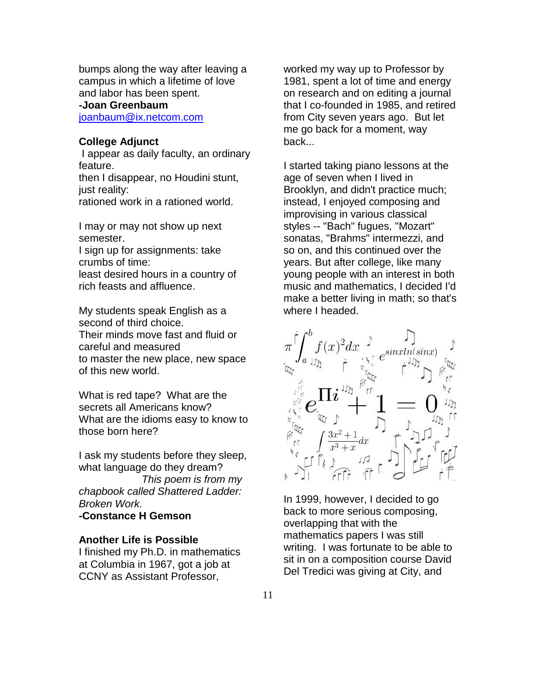bumps along the way after leaving a campus in which a lifetime of love and labor has been spent.

#### **-Joan Greenbaum**

[joanbaum@ix.netcom.com](mailto:joanbaum@ix.netcom.com)

#### **College Adjunct**

I appear as daily faculty, an ordinary feature.

then I disappear, no Houdini stunt, just reality:

rationed work in a rationed world.

I may or may not show up next semester.

I sign up for assignments: take crumbs of time:

least desired hours in a country of rich feasts and affluence.

My students speak English as a second of third choice.

Their minds move fast and fluid or careful and measured to master the new place, new space of this new world.

What is red tape? What are the secrets all Americans know? What are the idioms easy to know to those born here?

I ask my students before they sleep, what language do they dream? *This poem is from my chapbook called Shattered Ladder: Broken Work.* 

**-Constance H Gemson**

#### **Another Life is Possible**

I finished my Ph.D. in mathematics at Columbia in 1967, got a job at CCNY as Assistant Professor,

worked my way up to Professor by 1981, spent a lot of time and energy on research and on editing a journal that I co-founded in 1985, and retired from City seven years ago. But let me go back for a moment, way back...

I started taking piano lessons at the age of seven when I lived in Brooklyn, and didn't practice much; instead, I enjoyed composing and improvising in various classical styles -- "Bach" fugues, "Mozart" sonatas, "Brahms" intermezzi, and so on, and this continued over the years. But after college, like many young people with an interest in both music and mathematics, I decided I'd make a better living in math; so that's where I headed.



In 1999, however, I decided to go back to more serious composing, overlapping that with the mathematics papers I was still writing. I was fortunate to be able to sit in on a composition course David Del Tredici was giving at City, and